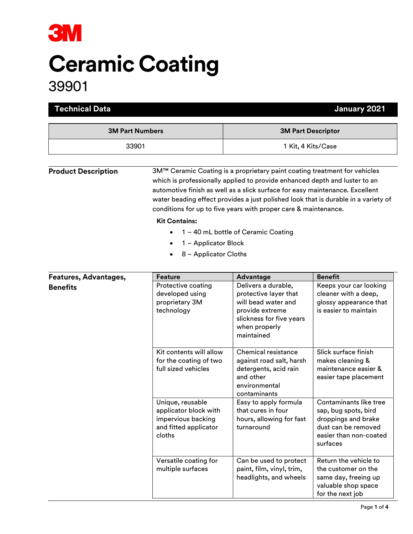

# Ceramic Coating

39901

| <b>Technical Data</b>                    |                                                                                                    | January 2021                                                                                                                                                                                                                                                                                                                                                                                                                            |                                                                                                                                    |  |
|------------------------------------------|----------------------------------------------------------------------------------------------------|-----------------------------------------------------------------------------------------------------------------------------------------------------------------------------------------------------------------------------------------------------------------------------------------------------------------------------------------------------------------------------------------------------------------------------------------|------------------------------------------------------------------------------------------------------------------------------------|--|
| <b>3M Part Numbers</b><br>33901          |                                                                                                    | <b>3M Part Descriptor</b><br>1 Kit, 4 Kits/Case                                                                                                                                                                                                                                                                                                                                                                                         |                                                                                                                                    |  |
|                                          |                                                                                                    |                                                                                                                                                                                                                                                                                                                                                                                                                                         |                                                                                                                                    |  |
| <b>Product Description</b>               | <b>Kit Contains:</b><br>1 - Applicator Block<br>$\bullet$<br>8 - Applicator Cloths                 | 3M™ Ceramic Coating is a proprietary paint coating treatment for vehicles<br>which is professionally applied to provide enhanced depth and luster to an<br>automotive finish as well as a slick surface for easy maintenance. Excellent<br>water beading effect provides a just polished look that is durable in a variety of<br>conditions for up to five years with proper care & maintenance.<br>1 - 40 mL bottle of Ceramic Coating |                                                                                                                                    |  |
|                                          | <b>Feature</b>                                                                                     |                                                                                                                                                                                                                                                                                                                                                                                                                                         | <b>Benefit</b>                                                                                                                     |  |
| Features, Advantages,<br><b>Benefits</b> | Protective coating<br>developed using<br>proprietary 3M<br>technology                              | Advantage<br>Delivers a durable,<br>protective layer that<br>will bead water and<br>provide extreme<br>slickness for five years<br>when properly<br>maintained                                                                                                                                                                                                                                                                          | Keeps your car looking<br>cleaner with a deep,<br>glossy appearance that<br>is easier to maintain                                  |  |
|                                          | Kit contents will allow<br>for the coating of two<br>full sized vehicles                           | Chemical resistance<br>against road salt, harsh<br>detergents, acid rain<br>and other<br>environmental<br>contaminants                                                                                                                                                                                                                                                                                                                  | Slick surface finish<br>makes cleaning &<br>maintenance easier &<br>easier tape placement                                          |  |
|                                          | Unique, reusable<br>applicator block with<br>impervious backing<br>and fitted applicator<br>cloths | Easy to apply formula<br>that cures in four<br>hours, allowing for fast<br>turnaround                                                                                                                                                                                                                                                                                                                                                   | Contaminants like tree<br>sap, bug spots, bird<br>droppings and brake<br>dust can be removed<br>easier than non-coated<br>surfaces |  |
|                                          | Versatile coating for<br>multiple surfaces                                                         | Can be used to protect<br>paint, film, vinyl, trim,                                                                                                                                                                                                                                                                                                                                                                                     | Return the vehicle to<br>the customer on the                                                                                       |  |

headlights, and wheels

same day, freeing up valuable shop space for the next job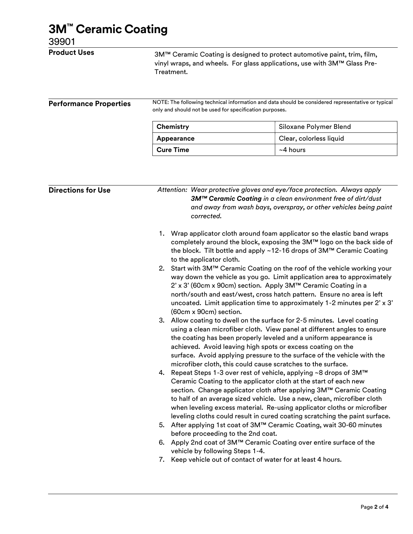## 3M™ Ceramic Coating

#### 39901

| <b>Product Uses</b>           | Treatment.                                                                                                                                                   | 3M™ Ceramic Coating is designed to protect automotive paint, trim, film,<br>vinyl wraps, and wheels. For glass applications, use with 3M™ Glass Pre- |  |  |
|-------------------------------|--------------------------------------------------------------------------------------------------------------------------------------------------------------|------------------------------------------------------------------------------------------------------------------------------------------------------|--|--|
| <b>Performance Properties</b> | NOTE: The following technical information and data should be considered representative or typical<br>only and should not be used for specification purposes. |                                                                                                                                                      |  |  |
|                               | Chemistry                                                                                                                                                    | Siloxane Polymer Blend                                                                                                                               |  |  |
|                               | Appearance                                                                                                                                                   | Clear, colorless liquid                                                                                                                              |  |  |
|                               |                                                                                                                                                              |                                                                                                                                                      |  |  |

| <b>Directions for Use</b> | Attention: Wear protective gloves and eye/face protection. Always apply<br>3M™ Ceramic Coating in a clean environment free of dirt/dust<br>and away from wash bays, overspray, or other vehicles being paint<br>corrected. |                                                                                                                                                                                                                                                                                                                                                                                                                                                    |
|---------------------------|----------------------------------------------------------------------------------------------------------------------------------------------------------------------------------------------------------------------------|----------------------------------------------------------------------------------------------------------------------------------------------------------------------------------------------------------------------------------------------------------------------------------------------------------------------------------------------------------------------------------------------------------------------------------------------------|
|                           |                                                                                                                                                                                                                            | 1. Wrap applicator cloth around foam applicator so the elastic band wraps<br>completely around the block, exposing the 3M™ logo on the back side of<br>the block. Tilt bottle and apply ~12-16 drops of 3M™ Ceramic Coating<br>to the applicator cloth.                                                                                                                                                                                            |
|                           | 2.                                                                                                                                                                                                                         | Start with 3M™ Ceramic Coating on the roof of the vehicle working your<br>way down the vehicle as you go. Limit application area to approximately<br>2' x 3' (60cm x 90cm) section. Apply 3M™ Ceramic Coating in a<br>north/south and east/west, cross hatch pattern. Ensure no area is left<br>uncoated. Limit application time to approximately 1-2 minutes per 2' x 3'<br>(60cm x 90cm) section.                                                |
|                           |                                                                                                                                                                                                                            | 3. Allow coating to dwell on the surface for 2-5 minutes. Level coating<br>using a clean microfiber cloth. View panel at different angles to ensure<br>the coating has been properly leveled and a uniform appearance is<br>achieved. Avoid leaving high spots or excess coating on the<br>surface. Avoid applying pressure to the surface of the vehicle with the<br>microfiber cloth, this could cause scratches to the surface.                 |
|                           |                                                                                                                                                                                                                            | 4. Repeat Steps 1-3 over rest of vehicle, applying ~8 drops of 3M™<br>Ceramic Coating to the applicator cloth at the start of each new<br>section. Change applicator cloth after applying 3M™ Ceramic Coating<br>to half of an average sized vehicle. Use a new, clean, microfiber cloth<br>when leveling excess material. Re-using applicator cloths or microfiber<br>leveling cloths could result in cured coating scratching the paint surface. |
|                           |                                                                                                                                                                                                                            | 5. After applying 1st coat of 3M™ Ceramic Coating, wait 30-60 minutes<br>before proceeding to the 2nd coat.                                                                                                                                                                                                                                                                                                                                        |
|                           | 6.                                                                                                                                                                                                                         | Apply 2nd coat of 3M™ Ceramic Coating over entire surface of the<br>vehicle by following Steps 1-4.                                                                                                                                                                                                                                                                                                                                                |
|                           |                                                                                                                                                                                                                            | 7. Keep vehicle out of contact of water for at least 4 hours.                                                                                                                                                                                                                                                                                                                                                                                      |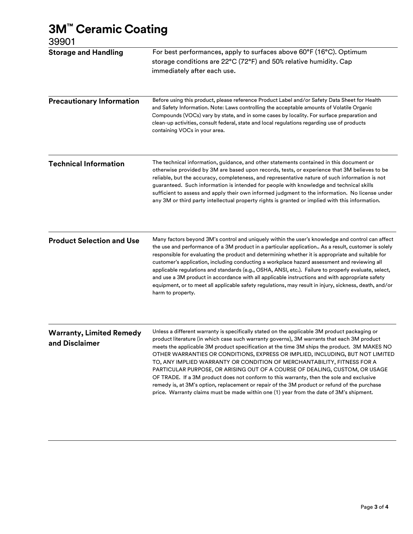### 3M™ Ceramic Coating

39901

| uuu 1                                             |                                                                                                                                                                                                                                                                                                                                                                                                                                                                                                                                                                                                                                                                                                                                                                                                                              |
|---------------------------------------------------|------------------------------------------------------------------------------------------------------------------------------------------------------------------------------------------------------------------------------------------------------------------------------------------------------------------------------------------------------------------------------------------------------------------------------------------------------------------------------------------------------------------------------------------------------------------------------------------------------------------------------------------------------------------------------------------------------------------------------------------------------------------------------------------------------------------------------|
| <b>Storage and Handling</b>                       | For best performances, apply to surfaces above 60°F (16°C). Optimum<br>storage conditions are 22°C (72°F) and 50% relative humidity. Cap<br>immediately after each use.                                                                                                                                                                                                                                                                                                                                                                                                                                                                                                                                                                                                                                                      |
| <b>Precautionary Information</b>                  | Before using this product, please reference Product Label and/or Safety Data Sheet for Health<br>and Safety Information. Note: Laws controlling the acceptable amounts of Volatile Organic<br>Compounds (VOCs) vary by state, and in some cases by locality. For surface preparation and<br>clean-up activities, consult federal, state and local regulations regarding use of products<br>containing VOCs in your area.                                                                                                                                                                                                                                                                                                                                                                                                     |
| <b>Technical Information</b>                      | The technical information, guidance, and other statements contained in this document or<br>otherwise provided by 3M are based upon records, tests, or experience that 3M believes to be<br>reliable, but the accuracy, completeness, and representative nature of such information is not<br>guaranteed. Such information is intended for people with knowledge and technical skills<br>sufficient to assess and apply their own informed judgment to the information. No license under<br>any 3M or third party intellectual property rights is granted or implied with this information.                                                                                                                                                                                                                                   |
| <b>Product Selection and Use</b>                  | Many factors beyond 3M's control and uniquely within the user's knowledge and control can affect<br>the use and performance of a 3M product in a particular application As a result, customer is solely<br>responsible for evaluating the product and determining whether it is appropriate and suitable for<br>customer's application, including conducting a workplace hazard assessment and reviewing all<br>applicable regulations and standards (e.g., OSHA, ANSI, etc.). Failure to properly evaluate, select,<br>and use a 3M product in accordance with all applicable instructions and with appropriate safety<br>equipment, or to meet all applicable safety regulations, may result in injury, sickness, death, and/or<br>harm to property.                                                                       |
| <b>Warranty, Limited Remedy</b><br>and Disclaimer | Unless a different warranty is specifically stated on the applicable 3M product packaging or<br>product literature (in which case such warranty governs), 3M warrants that each 3M product<br>meets the applicable 3M product specification at the time 3M ships the product. 3M MAKES NO<br>OTHER WARRANTIES OR CONDITIONS, EXPRESS OR IMPLIED, INCLUDING, BUT NOT LIMITED<br>TO, ANY IMPLIED WARRANTY OR CONDITION OF MERCHANTABILITY, FITNESS FOR A<br>PARTICULAR PURPOSE, OR ARISING OUT OF A COURSE OF DEALING, CUSTOM, OR USAGE<br>OF TRADE. If a 3M product does not conform to this warranty, then the sole and exclusive<br>remedy is, at 3M's option, replacement or repair of the 3M product or refund of the purchase<br>price. Warranty claims must be made within one (1) year from the date of 3M's shipment. |